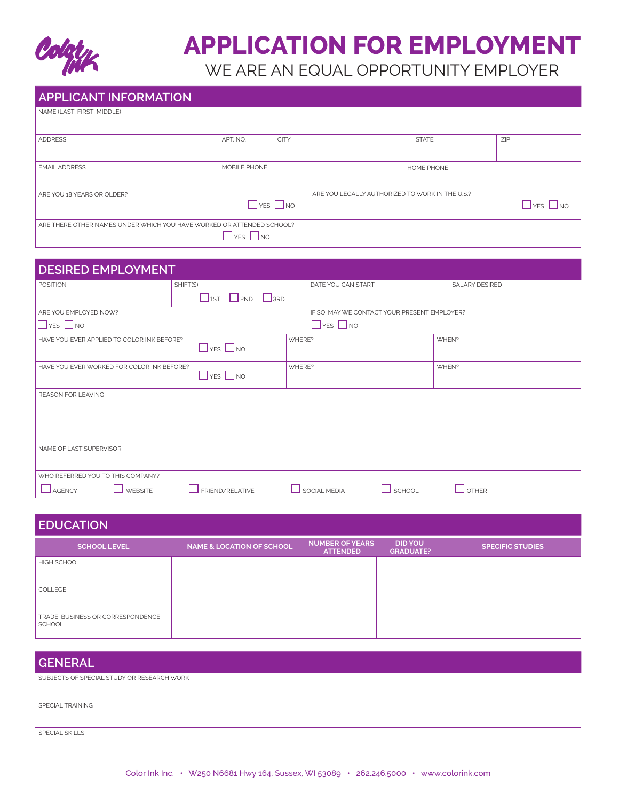

# **APPLICATION FOR EMPLOYMENT**

WE ARE AN EQUAL OPPORTUNITY EMPLOYER

| <b>APPLICANT INFORMATION</b>                                          |                      |                      |                                                 |                   |                      |
|-----------------------------------------------------------------------|----------------------|----------------------|-------------------------------------------------|-------------------|----------------------|
| NAME (LAST, FIRST, MIDDLE)                                            |                      |                      |                                                 |                   |                      |
| <b>ADDRESS</b>                                                        | APT. NO.             | <b>CITY</b>          |                                                 | <b>STATE</b>      | ZIP                  |
| <b>EMAIL ADDRESS</b>                                                  | MOBILE PHONE         |                      |                                                 | <b>HOME PHONE</b> |                      |
| ARE YOU 18 YEARS OR OLDER?                                            |                      | $\Box$ YES $\Box$ NO | ARE YOU LEGALLY AUTHORIZED TO WORK IN THE U.S.? |                   | $\Box$ YES $\Box$ NO |
| ARE THERE OTHER NAMES UNDER WHICH YOU HAVE WORKED OR ATTENDED SCHOOL? | $\Box$ YES $\Box$ NO |                      |                                                 |                   |                      |

| <b>DESIRED EMPLOYMENT</b>                  |                                  |        |                                              |                |
|--------------------------------------------|----------------------------------|--------|----------------------------------------------|----------------|
| <b>POSITION</b>                            | SHIFT(S)                         |        | DATE YOU CAN START                           | SALARY DESIRED |
|                                            | $\Box$ 1ST $\Box$ 2ND $\Box$ 3RD |        |                                              |                |
| ARE YOU EMPLOYED NOW?                      |                                  |        | IF SO, MAY WE CONTACT YOUR PRESENT EMPLOYER? |                |
| $\Box$ YES $\Box$ NO                       |                                  |        | $\Box$ YES $\Box$ NO                         |                |
| HAVE YOU EVER APPLIED TO COLOR INK BEFORE? | $\Box$ YES $\Box$ NO             | WHERE? |                                              | WHEN?          |
| HAVE YOU EVER WORKED FOR COLOR INK BEFORE? | $\Box$ yes $\Box$ no             | WHERE? |                                              | WHEN?          |
| <b>REASON FOR LEAVING</b>                  |                                  |        |                                              |                |
| NAME OF LAST SUPERVISOR                    |                                  |        |                                              |                |
| WHO REFERRED YOU TO THIS COMPANY?          |                                  |        |                                              |                |
| <b>AGENCY</b><br><b>WEBSITE</b>            | FRIEND/RELATIVE                  |        | SOCIAL MEDIA<br>SCHOOL                       | <b>OTHER</b>   |

| <b>EDUCATION</b>                                   |                                      |                                           |                                    |                         |  |
|----------------------------------------------------|--------------------------------------|-------------------------------------------|------------------------------------|-------------------------|--|
| <b>SCHOOL LEVEL</b>                                | <b>NAME &amp; LOCATION OF SCHOOL</b> | <b>NUMBER OF YEARS</b><br><b>ATTENDED</b> | <b>DID YOU</b><br><b>GRADUATE?</b> | <b>SPECIFIC STUDIES</b> |  |
| <b>HIGH SCHOOL</b>                                 |                                      |                                           |                                    |                         |  |
| COLLEGE                                            |                                      |                                           |                                    |                         |  |
| TRADE, BUSINESS OR CORRESPONDENCE<br><b>SCHOOL</b> |                                      |                                           |                                    |                         |  |

| <b>GENERAL</b>                             |
|--------------------------------------------|
| SUBJECTS OF SPECIAL STUDY OR RESEARCH WORK |
| SPECIAL TRAINING                           |
| SPECIAL SKILLS                             |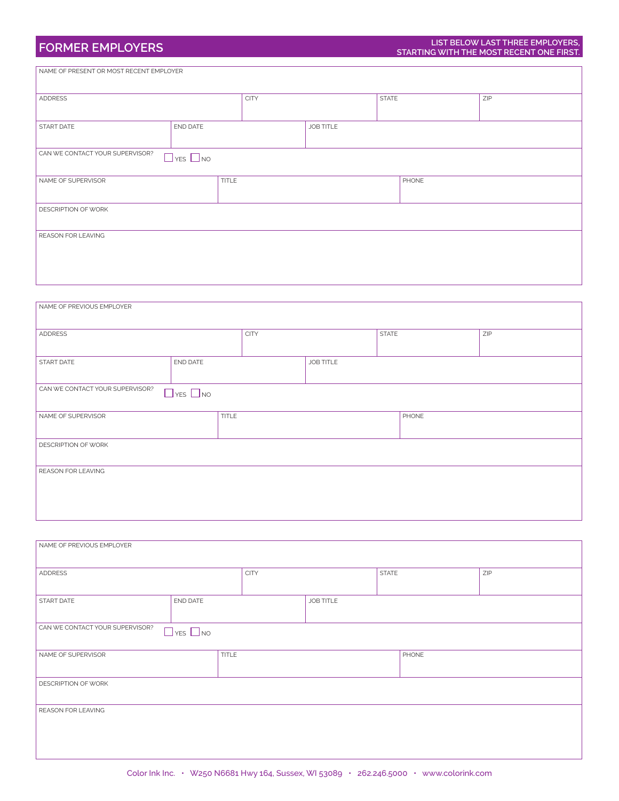| ADDRESS                                                 |          | <b>CITY</b> |           | <b>STATE</b> | ZIP |
|---------------------------------------------------------|----------|-------------|-----------|--------------|-----|
|                                                         |          |             |           |              |     |
| <b>START DATE</b>                                       | END DATE |             | JOB TITLE |              |     |
|                                                         |          |             |           |              |     |
| CAN WE CONTACT YOUR SUPERVISOR?<br>$\Box$ YES $\Box$ NO |          |             |           |              |     |
| NAME OF SUPERVISOR                                      | TITLE    |             |           | PHONE        |     |
|                                                         |          |             |           |              |     |
| <b>REASON FOR LEAVING</b>                               |          |             |           |              |     |
| <b>DESCRIPTION OF WORK</b>                              |          |             |           |              |     |

| NAME OF PREVIOUS EMPLOYER       |                      |             |                  |       |     |
|---------------------------------|----------------------|-------------|------------------|-------|-----|
| ADDRESS                         |                      | <b>CITY</b> | <b>STATE</b>     |       | ZIP |
| START DATE                      | END DATE             |             | <b>JOB TITLE</b> |       |     |
| CAN WE CONTACT YOUR SUPERVISOR? | $\Box$ YES $\Box$ NO |             |                  |       |     |
| NAME OF SUPERVISOR              | <b>TITLE</b>         |             |                  | PHONE |     |
| DESCRIPTION OF WORK             |                      |             |                  |       |     |
| <b>REASON FOR LEAVING</b>       |                      |             |                  |       |     |
|                                 |                      |             |                  |       |     |

| NAME OF PREVIOUS EMPLOYER       |                      |             |                  |              |     |  |
|---------------------------------|----------------------|-------------|------------------|--------------|-----|--|
| ADDRESS                         |                      | <b>CITY</b> |                  | <b>STATE</b> | ZIP |  |
| START DATE                      | END DATE             |             | <b>JOB TITLE</b> |              |     |  |
| CAN WE CONTACT YOUR SUPERVISOR? | $\Box$ YES $\Box$ NO |             |                  |              |     |  |
| NAME OF SUPERVISOR              | <b>TITLE</b>         |             |                  | PHONE        |     |  |
| DESCRIPTION OF WORK             |                      |             |                  |              |     |  |
| REASON FOR LEAVING              |                      |             |                  |              |     |  |
|                                 |                      |             |                  |              |     |  |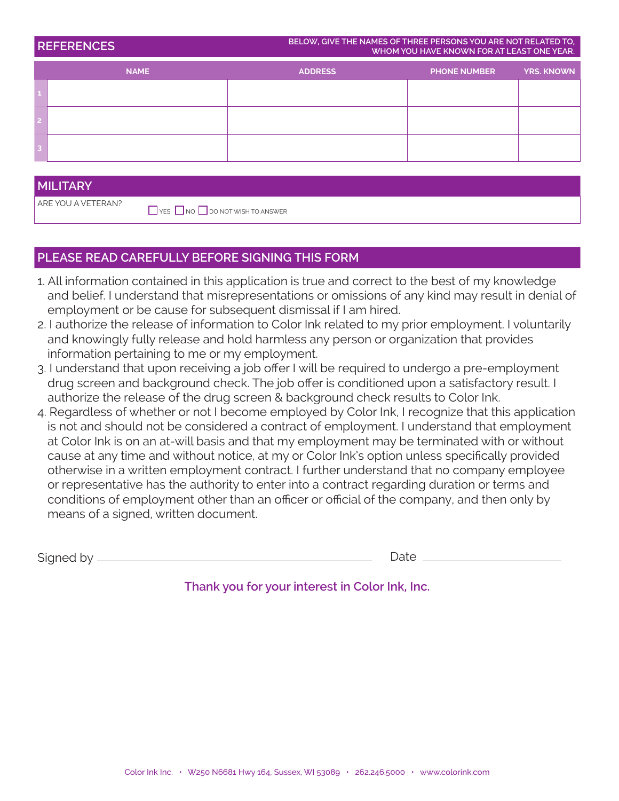| <b>REFERENCES</b> | BELOW, GIVE THE NAMES OF THREE PERSONS YOU ARE NOT RELATED TO,<br>WHOM YOU HAVE KNOWN FOR AT LEAST ONE YEAR. |                     |                   |
|-------------------|--------------------------------------------------------------------------------------------------------------|---------------------|-------------------|
| <b>NAME</b>       | <b>ADDRESS</b>                                                                                               | <b>PHONE NUMBER</b> | <b>YRS. KNOWN</b> |
|                   |                                                                                                              |                     |                   |
|                   |                                                                                                              |                     |                   |
|                   |                                                                                                              |                     |                   |

#### **MILITARY**

ARE YOU A VETERAN?

 $\Box$  YES  $\Box$  NO  $\Box$  DO NOT WISH TO ANSWER

### **PLEASE READ CAREFULLY BEFORE SIGNING THIS FORM**

- 1. All information contained in this application is true and correct to the best of my knowledge and belief. I understand that misrepresentations or omissions of any kind may result in denial of employment or be cause for subsequent dismissal if I am hired.
- 2. I authorize the release of information to Color Ink related to my prior employment. I voluntarily and knowingly fully release and hold harmless any person or organization that provides information pertaining to me or my employment.
- 3. I understand that upon receiving a job offer I will be required to undergo a pre-employment drug screen and background check. The job offer is conditioned upon a satisfactory result. I authorize the release of the drug screen & background check results to Color Ink.
- 4. Regardless of whether or not I become employed by Color Ink, I recognize that this application is not and should not be considered a contract of employment. I understand that employment at Color Ink is on an at-will basis and that my employment may be terminated with or without cause at any time and without notice, at my or Color Ink's option unless specifically provided otherwise in a written employment contract. I further understand that no company employee or representative has the authority to enter into a contract regarding duration or terms and conditions of employment other than an officer or official of the company, and then only by means of a signed, written document.

Signed by  $-$ 

Date

**Thank you for your interest in Color Ink, Inc.**